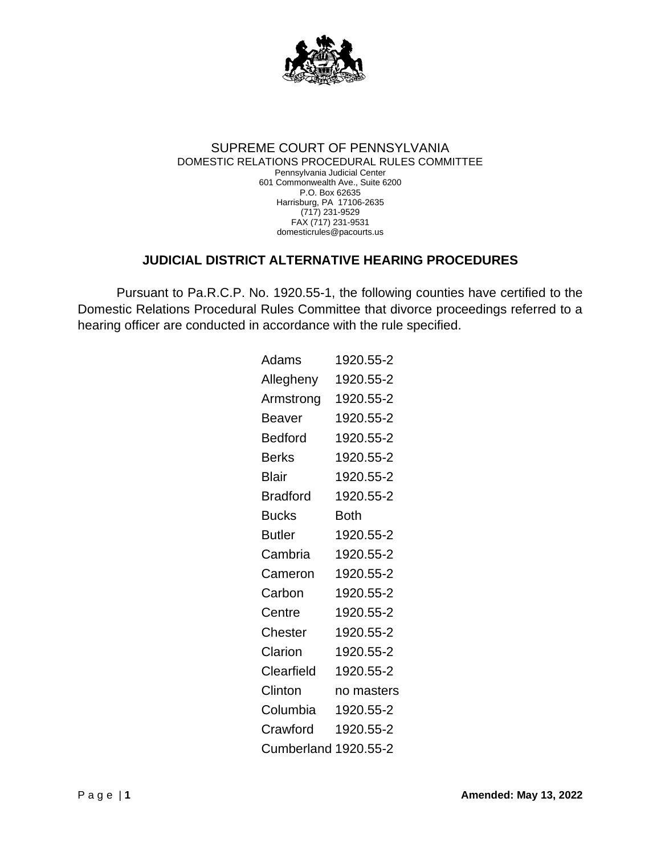

## SUPREME COURT OF PENNSYLVANIA DOMESTIC RELATIONS PROCEDURAL RULES COMMITTEE Pennsylvania Judicial Center 601 Commonwealth Ave., Suite 6200 P.O. Box 62635 Harrisburg, PA 17106-2635 (717) 231-9529 FAX (717) 231-9531 domesticrules@pacourts.us

## **JUDICIAL DISTRICT ALTERNATIVE HEARING PROCEDURES**

Pursuant to Pa.R.C.P. No. 1920.55-1, the following counties have certified to the Domestic Relations Procedural Rules Committee that divorce proceedings referred to a hearing officer are conducted in accordance with the rule specified.

| Adams                | 1920.55-2  |
|----------------------|------------|
| Allegheny            | 1920.55-2  |
| Armstrong            | 1920.55-2  |
| Beaver               | 1920.55-2  |
| Bedford              | 1920.55-2  |
| <b>Berks</b>         | 1920.55-2  |
| Blair                | 1920.55-2  |
| <b>Bradford</b>      | 1920.55-2  |
| <b>Bucks</b>         | Both       |
| Butler               | 1920.55-2  |
| Cambria              | 1920.55-2  |
| Cameron              | 1920.55-2  |
| Carbon               | 1920.55-2  |
| Centre               | 1920.55-2  |
| Chester              | 1920.55-2  |
| Clarion              | 1920.55-2  |
| Clearfield           | 1920.55-2  |
| Clinton              | no masters |
| Columbia             | 1920.55-2  |
| Crawford             | 1920.55-2  |
| Cumberland 1920.55-2 |            |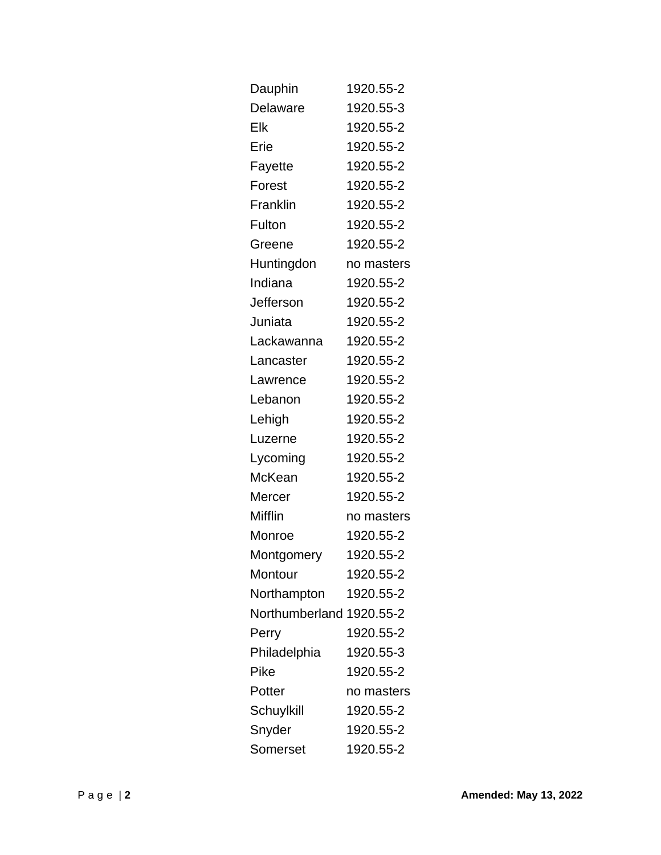| Dauphin                  | 1920.55-2  |
|--------------------------|------------|
| Delaware                 | 1920.55-3  |
| Elk                      | 1920.55-2  |
| Erie                     | 1920.55-2  |
| Fayette                  | 1920.55-2  |
| Forest                   | 1920.55-2  |
| Franklin                 | 1920.55-2  |
| Fulton                   | 1920.55-2  |
| Greene                   | 1920.55-2  |
| Huntingdon               | no masters |
| Indiana                  | 1920.55-2  |
| Jefferson                | 1920.55-2  |
| Juniata                  | 1920.55-2  |
| Lackawanna               | 1920.55-2  |
| Lancaster                | 1920.55-2  |
| Lawrence                 | 1920.55-2  |
| Lebanon                  | 1920.55-2  |
| Lehigh                   | 1920.55-2  |
| Luzerne                  | 1920.55-2  |
| Lycoming                 | 1920.55-2  |
| McKean                   | 1920.55-2  |
| Mercer                   | 1920.55-2  |
| Mifflin                  | no masters |
| Monroe                   | 1920.55-2  |
| Montgomery               | 1920.55-2  |
| Montour                  | 1920.55-2  |
| Northampton              | 1920.55-2  |
| Northumberland 1920.55-2 |            |
| Perry                    | 1920.55-2  |
| Philadelphia             | 1920.55-3  |
| Pike                     | 1920.55-2  |
| Potter                   | no masters |
| Schuylkill               | 1920.55-2  |
| Snyder                   | 1920.55-2  |
| Somerset                 | 1920.55-2  |